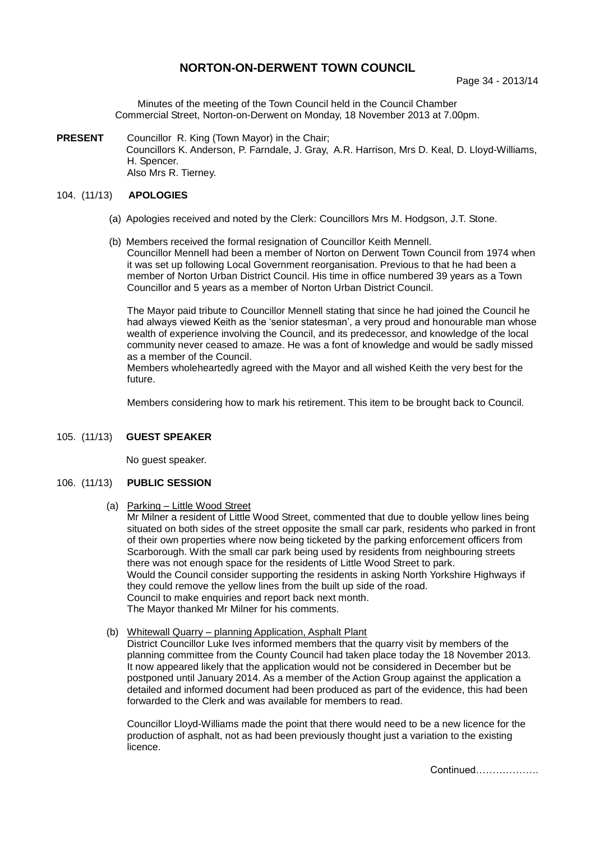# **NORTON-ON-DERWENT TOWN COUNCIL**

Minutes of the meeting of the Town Council held in the Council Chamber Commercial Street, Norton-on-Derwent on Monday, 18 November 2013 at 7.00pm.

**PRESENT** Councillor R. King (Town Mayor) in the Chair; Councillors K. Anderson, P. Farndale, J. Gray, A.R. Harrison, Mrs D. Keal, D. Lloyd-Williams, H. Spencer. Also Mrs R. Tierney.

#### 104. (11/13) **APOLOGIES**

- (a) Apologies received and noted by the Clerk: Councillors Mrs M. Hodgson, J.T. Stone.
- (b) Members received the formal resignation of Councillor Keith Mennell. Councillor Mennell had been a member of Norton on Derwent Town Council from 1974 when it was set up following Local Government reorganisation. Previous to that he had been a member of Norton Urban District Council. His time in office numbered 39 years as a Town Councillor and 5 years as a member of Norton Urban District Council.

The Mayor paid tribute to Councillor Mennell stating that since he had joined the Council he had always viewed Keith as the 'senior statesman', a very proud and honourable man whose wealth of experience involving the Council, and its predecessor, and knowledge of the local community never ceased to amaze. He was a font of knowledge and would be sadly missed as a member of the Council.

Members wholeheartedly agreed with the Mayor and all wished Keith the very best for the future.

Members considering how to mark his retirement. This item to be brought back to Council.

#### 105. (11/13) **GUEST SPEAKER**

No guest speaker.

#### 106. (11/13) **PUBLIC SESSION**

(a) Parking – Little Wood Street

Mr Milner a resident of Little Wood Street, commented that due to double yellow lines being situated on both sides of the street opposite the small car park, residents who parked in front of their own properties where now being ticketed by the parking enforcement officers from Scarborough. With the small car park being used by residents from neighbouring streets there was not enough space for the residents of Little Wood Street to park. Would the Council consider supporting the residents in asking North Yorkshire Highways if they could remove the yellow lines from the built up side of the road. Council to make enquiries and report back next month. The Mayor thanked Mr Milner for his comments.

#### (b) Whitewall Quarry – planning Application, Asphalt Plant

District Councillor Luke Ives informed members that the quarry visit by members of the planning committee from the County Council had taken place today the 18 November 2013. It now appeared likely that the application would not be considered in December but be postponed until January 2014. As a member of the Action Group against the application a detailed and informed document had been produced as part of the evidence, this had been forwarded to the Clerk and was available for members to read.

Councillor Lloyd-Williams made the point that there would need to be a new licence for the production of asphalt, not as had been previously thought just a variation to the existing licence.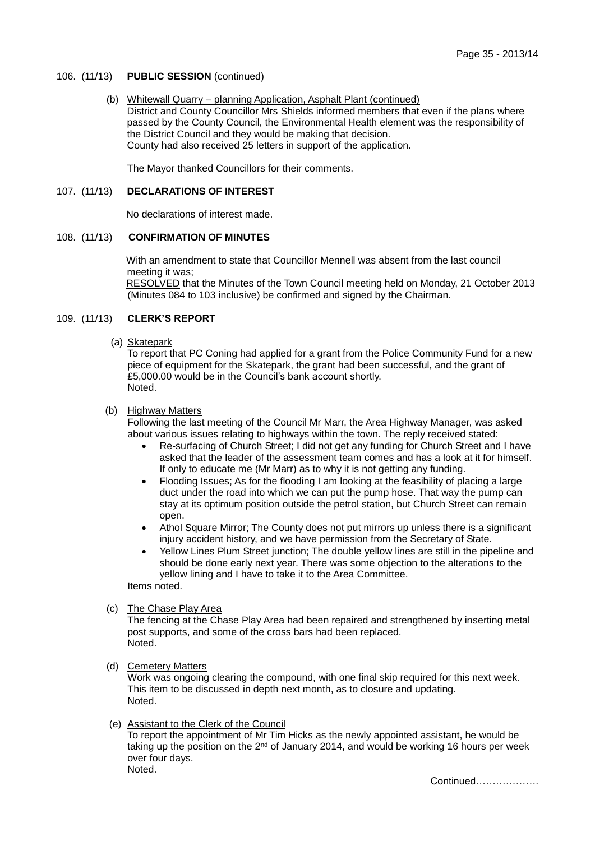#### 106. (11/13) **PUBLIC SESSION** (continued)

#### (b) Whitewall Quarry – planning Application, Asphalt Plant (continued)

District and County Councillor Mrs Shields informed members that even if the plans where passed by the County Council, the Environmental Health element was the responsibility of the District Council and they would be making that decision. County had also received 25 letters in support of the application.

The Mayor thanked Councillors for their comments.

### 107. (11/13) **DECLARATIONS OF INTEREST**

No declarations of interest made.

#### 108. (11/13) **CONFIRMATION OF MINUTES**

With an amendment to state that Councillor Mennell was absent from the last council meeting it was;

RESOLVED that the Minutes of the Town Council meeting held on Monday, 21 October 2013 (Minutes 084 to 103 inclusive) be confirmed and signed by the Chairman.

## 109. (11/13) **CLERK'S REPORT**

(a) Skatepark

To report that PC Coning had applied for a grant from the Police Community Fund for a new piece of equipment for the Skatepark, the grant had been successful, and the grant of £5,000.00 would be in the Council's bank account shortly. Noted.

#### (b) Highway Matters

Following the last meeting of the Council Mr Marr, the Area Highway Manager, was asked about various issues relating to highways within the town. The reply received stated:

- Re-surfacing of Church Street; I did not get any funding for Church Street and I have asked that the leader of the assessment team comes and has a look at it for himself. If only to educate me (Mr Marr) as to why it is not getting any funding.
- Flooding Issues; As for the flooding I am looking at the feasibility of placing a large duct under the road into which we can put the pump hose. That way the pump can stay at its optimum position outside the petrol station, but Church Street can remain open.
- Athol Square Mirror; The County does not put mirrors up unless there is a significant injury accident history, and we have permission from the Secretary of State.
- Yellow Lines Plum Street junction; The double yellow lines are still in the pipeline and should be done early next year. There was some objection to the alterations to the yellow lining and I have to take it to the Area Committee.

Items noted.

(c) The Chase Play Area

The fencing at the Chase Play Area had been repaired and strengthened by inserting metal post supports, and some of the cross bars had been replaced. Noted.

(d) Cemetery Matters

Work was ongoing clearing the compound, with one final skip required for this next week. This item to be discussed in depth next month, as to closure and updating. Noted.

## (e) Assistant to the Clerk of the Council

To report the appointment of Mr Tim Hicks as the newly appointed assistant, he would be taking up the position on the 2<sup>nd</sup> of January 2014, and would be working 16 hours per week over four days. Noted.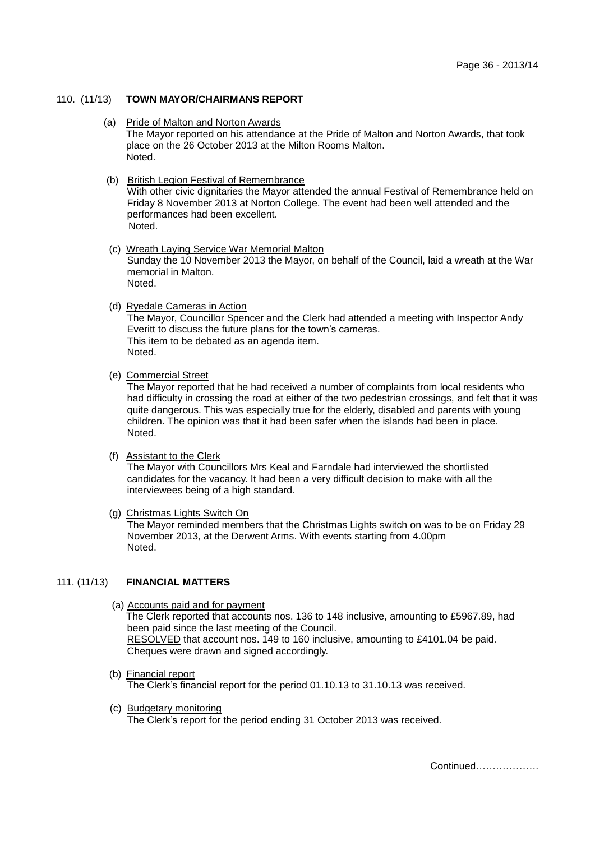#### 110. (11/13) **TOWN MAYOR/CHAIRMANS REPORT**

 (a) Pride of Malton and Norton Awards The Mayor reported on his attendance at the Pride of Malton and Norton Awards, that took place on the 26 October 2013 at the Milton Rooms Malton. Noted.

#### (b) British Legion Festival of Remembrance

With other civic dignitaries the Mayor attended the annual Festival of Remembrance held on Friday 8 November 2013 at Norton College. The event had been well attended and the performances had been excellent. .<br>Noted

- (c) Wreath Laying Service War Memorial Malton Sunday the 10 November 2013 the Mayor, on behalf of the Council, laid a wreath at the War memorial in Malton. Noted.
- (d) Ryedale Cameras in Action

The Mayor, Councillor Spencer and the Clerk had attended a meeting with Inspector Andy Everitt to discuss the future plans for the town's cameras. This item to be debated as an agenda item. Noted.

(e) Commercial Street

The Mayor reported that he had received a number of complaints from local residents who had difficulty in crossing the road at either of the two pedestrian crossings, and felt that it was quite dangerous. This was especially true for the elderly, disabled and parents with young children. The opinion was that it had been safer when the islands had been in place. Noted.

(f) Assistant to the Clerk

The Mayor with Councillors Mrs Keal and Farndale had interviewed the shortlisted candidates for the vacancy. It had been a very difficult decision to make with all the interviewees being of a high standard.

(g) Christmas Lights Switch On

The Mayor reminded members that the Christmas Lights switch on was to be on Friday 29 November 2013, at the Derwent Arms. With events starting from 4.00pm Noted.

#### 111. (11/13) **FINANCIAL MATTERS**

- (a) Accounts paid and for payment The Clerk reported that accounts nos. 136 to 148 inclusive, amounting to £5967.89, had been paid since the last meeting of the Council. RESOLVED that account nos. 149 to 160 inclusive, amounting to £4101.04 be paid. Cheques were drawn and signed accordingly.
- (b) Financial report The Clerk's financial report for the period 01.10.13 to 31.10.13 was received.
- (c) Budgetary monitoring The Clerk's report for the period ending 31 October 2013 was received.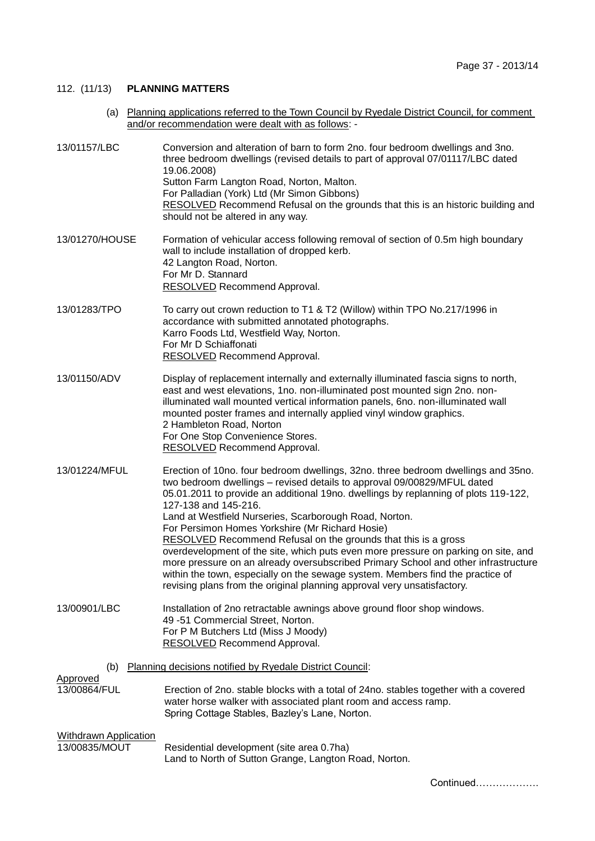Continued……………….

## 112. (11/13) **PLANNING MATTERS**

 (a) Planning applications referred to the Town Council by Ryedale District Council, for comment and/or recommendation were dealt with as follows: -

| 13/01157/LBC                                                    | Conversion and alteration of barn to form 2no. four bedroom dwellings and 3no.<br>three bedroom dwellings (revised details to part of approval 07/01117/LBC dated<br>19.06.2008)<br>Sutton Farm Langton Road, Norton, Malton.<br>For Palladian (York) Ltd (Mr Simon Gibbons)<br>RESOLVED Recommend Refusal on the grounds that this is an historic building and<br>should not be altered in any way.                                                                                                                                                                                                                                                                                                                                                                                                |
|-----------------------------------------------------------------|-----------------------------------------------------------------------------------------------------------------------------------------------------------------------------------------------------------------------------------------------------------------------------------------------------------------------------------------------------------------------------------------------------------------------------------------------------------------------------------------------------------------------------------------------------------------------------------------------------------------------------------------------------------------------------------------------------------------------------------------------------------------------------------------------------|
| 13/01270/HOUSE                                                  | Formation of vehicular access following removal of section of 0.5m high boundary<br>wall to include installation of dropped kerb.<br>42 Langton Road, Norton.<br>For Mr D. Stannard<br><b>RESOLVED</b> Recommend Approval.                                                                                                                                                                                                                                                                                                                                                                                                                                                                                                                                                                          |
| 13/01283/TPO                                                    | To carry out crown reduction to T1 & T2 (Willow) within TPO No.217/1996 in<br>accordance with submitted annotated photographs.<br>Karro Foods Ltd, Westfield Way, Norton.<br>For Mr D Schiaffonati<br>RESOLVED Recommend Approval.                                                                                                                                                                                                                                                                                                                                                                                                                                                                                                                                                                  |
| 13/01150/ADV                                                    | Display of replacement internally and externally illuminated fascia signs to north,<br>east and west elevations, 1no. non-illuminated post mounted sign 2no. non-<br>illuminated wall mounted vertical information panels, 6no. non-illuminated wall<br>mounted poster frames and internally applied vinyl window graphics.<br>2 Hambleton Road, Norton<br>For One Stop Convenience Stores.<br><b>RESOLVED</b> Recommend Approval.                                                                                                                                                                                                                                                                                                                                                                  |
| 13/01224/MFUL                                                   | Erection of 10no. four bedroom dwellings, 32no. three bedroom dwellings and 35no.<br>two bedroom dwellings - revised details to approval 09/00829/MFUL dated<br>05.01.2011 to provide an additional 19no. dwellings by replanning of plots 119-122,<br>127-138 and 145-216.<br>Land at Westfield Nurseries, Scarborough Road, Norton.<br>For Persimon Homes Yorkshire (Mr Richard Hosie)<br>RESOLVED Recommend Refusal on the grounds that this is a gross<br>overdevelopment of the site, which puts even more pressure on parking on site, and<br>more pressure on an already oversubscribed Primary School and other infrastructure<br>within the town, especially on the sewage system. Members find the practice of<br>revising plans from the original planning approval very unsatisfactory. |
| 13/00901/LBC                                                    | Installation of 2no retractable awnings above ground floor shop windows.<br>49-51 Commercial Street, Norton.<br>For P M Butchers Ltd (Miss J Moody)<br><b>RESOLVED</b> Recommend Approval.                                                                                                                                                                                                                                                                                                                                                                                                                                                                                                                                                                                                          |
| Planning decisions notified by Ryedale District Council:<br>(b) |                                                                                                                                                                                                                                                                                                                                                                                                                                                                                                                                                                                                                                                                                                                                                                                                     |
| <b>Approved</b><br>13/00864/FUL                                 | Erection of 2no. stable blocks with a total of 24no. stables together with a covered<br>water horse walker with associated plant room and access ramp.<br>Spring Cottage Stables, Bazley's Lane, Norton.                                                                                                                                                                                                                                                                                                                                                                                                                                                                                                                                                                                            |
| <b>Withdrawn Application</b><br>13/00835/MOUT                   | Residential development (site area 0.7ha)<br>Land to North of Sutton Grange, Langton Road, Norton.                                                                                                                                                                                                                                                                                                                                                                                                                                                                                                                                                                                                                                                                                                  |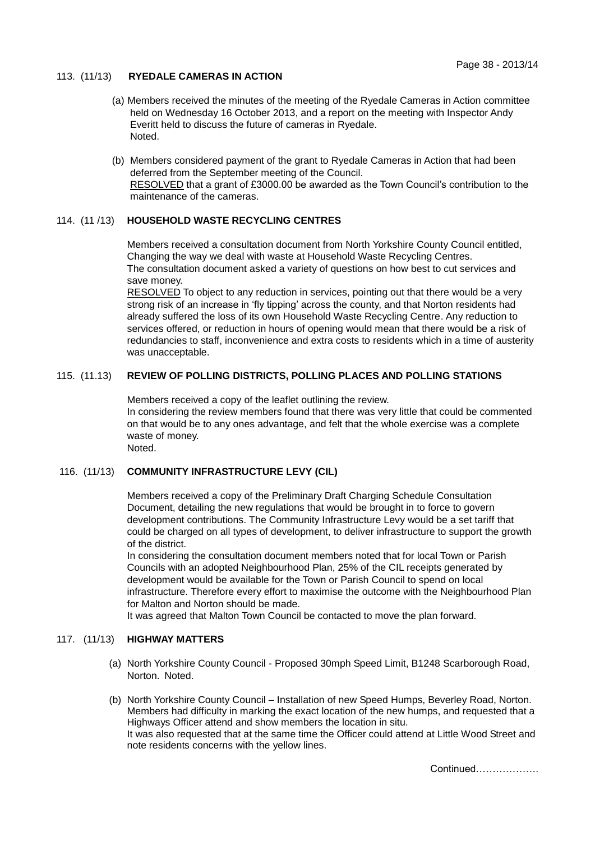#### 113. (11/13) **RYEDALE CAMERAS IN ACTION**

- (a) Members received the minutes of the meeting of the Ryedale Cameras in Action committee held on Wednesday 16 October 2013, and a report on the meeting with Inspector Andy Everitt held to discuss the future of cameras in Ryedale. Noted.
- (b) Members considered payment of the grant to Ryedale Cameras in Action that had been deferred from the September meeting of the Council. RESOLVED that a grant of £3000.00 be awarded as the Town Council's contribution to the maintenance of the cameras.

## 114. (11 /13) **HOUSEHOLD WASTE RECYCLING CENTRES**

Members received a consultation document from North Yorkshire County Council entitled, Changing the way we deal with waste at Household Waste Recycling Centres. The consultation document asked a variety of questions on how best to cut services and save money.

RESOLVED To object to any reduction in services, pointing out that there would be a very strong risk of an increase in 'fly tipping' across the county, and that Norton residents had already suffered the loss of its own Household Waste Recycling Centre. Any reduction to services offered, or reduction in hours of opening would mean that there would be a risk of redundancies to staff, inconvenience and extra costs to residents which in a time of austerity was unacceptable.

## 115. (11.13) **REVIEW OF POLLING DISTRICTS, POLLING PLACES AND POLLING STATIONS**

Members received a copy of the leaflet outlining the review. In considering the review members found that there was very little that could be commented on that would be to any ones advantage, and felt that the whole exercise was a complete waste of money. Noted.

#### 116. (11/13) **COMMUNITY INFRASTRUCTURE LEVY (CIL)**

Members received a copy of the Preliminary Draft Charging Schedule Consultation Document, detailing the new regulations that would be brought in to force to govern development contributions. The Community Infrastructure Levy would be a set tariff that could be charged on all types of development, to deliver infrastructure to support the growth of the district.

In considering the consultation document members noted that for local Town or Parish Councils with an adopted Neighbourhood Plan, 25% of the CIL receipts generated by development would be available for the Town or Parish Council to spend on local infrastructure. Therefore every effort to maximise the outcome with the Neighbourhood Plan for Malton and Norton should be made.

It was agreed that Malton Town Council be contacted to move the plan forward.

#### 117. (11/13) **HIGHWAY MATTERS**

- (a) North Yorkshire County Council Proposed 30mph Speed Limit, B1248 Scarborough Road, Norton. Noted.
- (b) North Yorkshire County Council Installation of new Speed Humps, Beverley Road, Norton. Members had difficulty in marking the exact location of the new humps, and requested that a Highways Officer attend and show members the location in situ. It was also requested that at the same time the Officer could attend at Little Wood Street and note residents concerns with the yellow lines.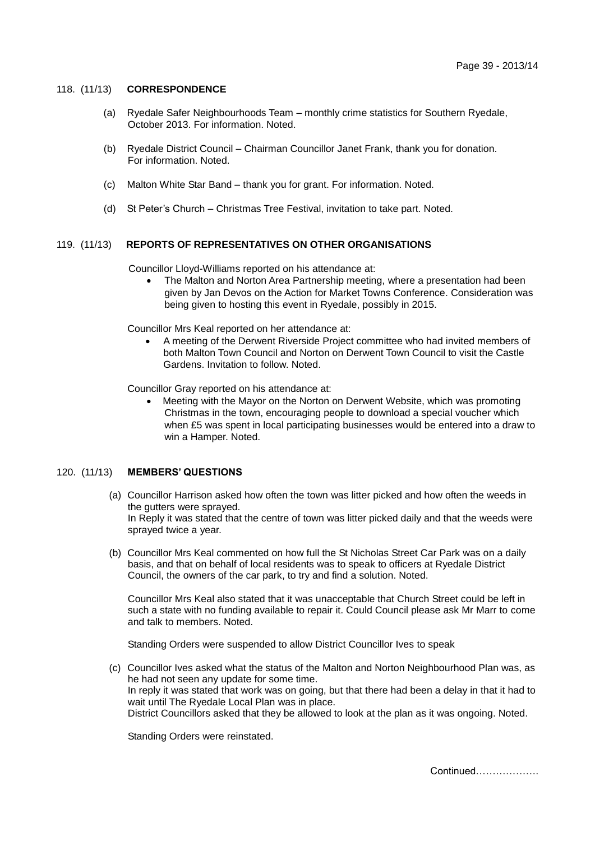#### 118. (11/13) **CORRESPONDENCE**

- (a) Ryedale Safer Neighbourhoods Team monthly crime statistics for Southern Ryedale, October 2013. For information. Noted.
- (b) Ryedale District Council Chairman Councillor Janet Frank, thank you for donation. For information. Noted.
- (c) Malton White Star Band thank you for grant. For information. Noted.
- (d) St Peter's Church Christmas Tree Festival, invitation to take part. Noted.

### 119. (11/13) **REPORTS OF REPRESENTATIVES ON OTHER ORGANISATIONS**

Councillor Lloyd-Williams reported on his attendance at:

 The Malton and Norton Area Partnership meeting, where a presentation had been given by Jan Devos on the Action for Market Towns Conference. Consideration was being given to hosting this event in Ryedale, possibly in 2015.

Councillor Mrs Keal reported on her attendance at:

 A meeting of the Derwent Riverside Project committee who had invited members of both Malton Town Council and Norton on Derwent Town Council to visit the Castle Gardens. Invitation to follow. Noted.

Councillor Gray reported on his attendance at:

 Meeting with the Mayor on the Norton on Derwent Website, which was promoting Christmas in the town, encouraging people to download a special voucher which when £5 was spent in local participating businesses would be entered into a draw to win a Hamper. Noted.

#### 120. (11/13) **MEMBERS' QUESTIONS**

- (a) Councillor Harrison asked how often the town was litter picked and how often the weeds in the gutters were sprayed. In Reply it was stated that the centre of town was litter picked daily and that the weeds were sprayed twice a year.
- (b) Councillor Mrs Keal commented on how full the St Nicholas Street Car Park was on a daily basis, and that on behalf of local residents was to speak to officers at Ryedale District Council, the owners of the car park, to try and find a solution. Noted.

Councillor Mrs Keal also stated that it was unacceptable that Church Street could be left in such a state with no funding available to repair it. Could Council please ask Mr Marr to come and talk to members. Noted.

Standing Orders were suspended to allow District Councillor Ives to speak

(c) Councillor Ives asked what the status of the Malton and Norton Neighbourhood Plan was, as he had not seen any update for some time. In reply it was stated that work was on going, but that there had been a delay in that it had to wait until The Ryedale Local Plan was in place. District Councillors asked that they be allowed to look at the plan as it was ongoing. Noted.

Standing Orders were reinstated.